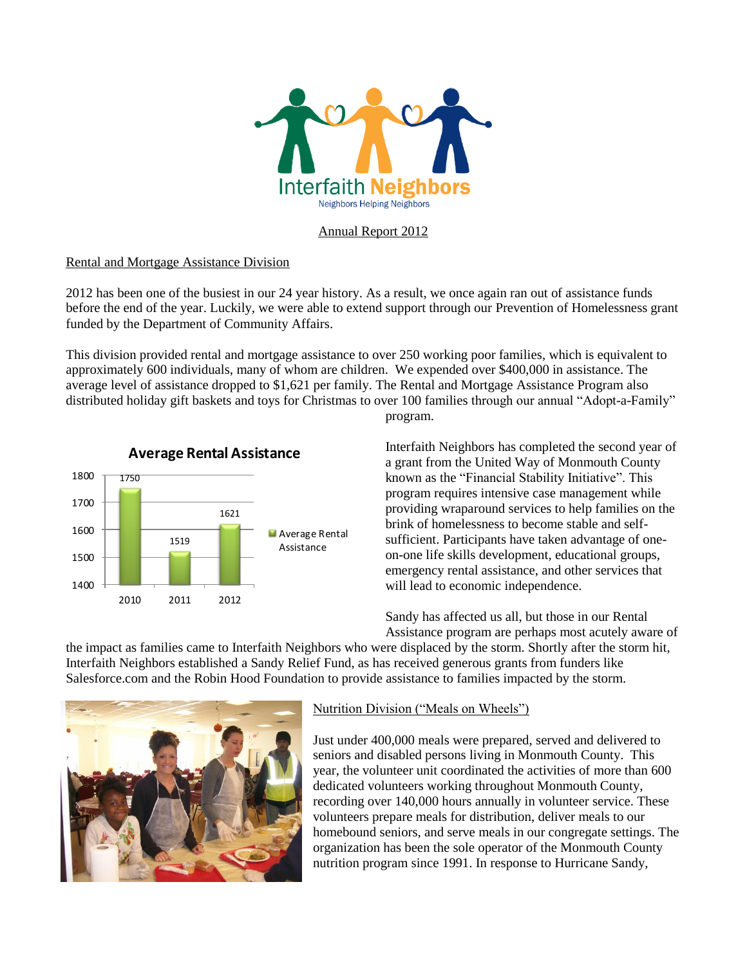

## Annual Report 2012

### Rental and Mortgage Assistance Division

2012 has been one of the busiest in our 24 year history. As a result, we once again ran out of assistance funds before the end of the year. Luckily, we were able to extend support through our Prevention of Homelessness grant funded by the Department of Community Affairs.

This division provided rental and mortgage assistance to over 250 working poor families, which is equivalent to approximately 600 individuals, many of whom are children. We expended over \$400,000 in assistance. The average level of assistance dropped to \$1,621 per family. The Rental and Mortgage Assistance Program also distributed holiday gift baskets and toys for Christmas to over 100 families through our annual "Adopt-a-Family"



program.

Interfaith Neighbors has completed the second year of a grant from the United Way of Monmouth County known as the "Financial Stability Initiative". This program requires intensive case management while providing wraparound services to help families on the brink of homelessness to become stable and selfsufficient. Participants have taken advantage of oneon-one life skills development, educational groups, emergency rental assistance, and other services that will lead to economic independence.

Sandy has affected us all, but those in our Rental Assistance program are perhaps most acutely aware of

the impact as families came to Interfaith Neighbors who were displaced by the storm. Shortly after the storm hit, Interfaith Neighbors established a Sandy Relief Fund, as has received generous grants from funders like Salesforce.com and the Robin Hood Foundation to provide assistance to families impacted by the storm.



## Nutrition Division ("Meals on Wheels")

Just under 400,000 meals were prepared, served and delivered to seniors and disabled persons living in Monmouth County. This year, the volunteer unit coordinated the activities of more than 600 dedicated volunteers working throughout Monmouth County, recording over 140,000 hours annually in volunteer service. These volunteers prepare meals for distribution, deliver meals to our homebound seniors, and serve meals in our congregate settings. The organization has been the sole operator of the Monmouth County nutrition program since 1991. In response to Hurricane Sandy,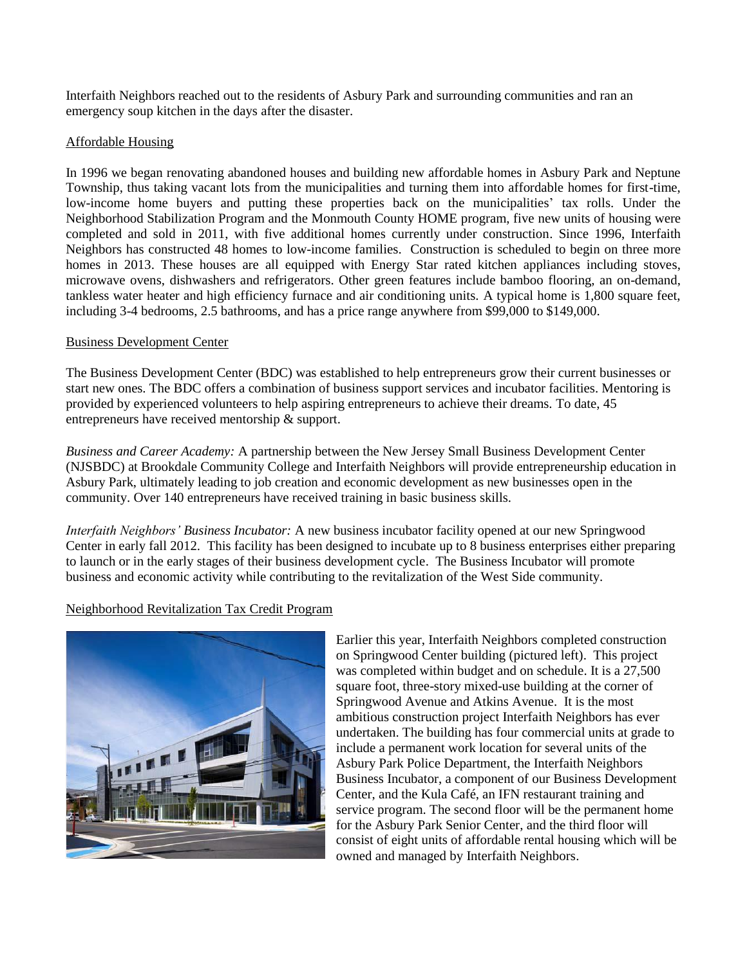Interfaith Neighbors reached out to the residents of Asbury Park and surrounding communities and ran an emergency soup kitchen in the days after the disaster.

## Affordable Housing

In 1996 we began renovating abandoned houses and building new affordable homes in Asbury Park and Neptune Township, thus taking vacant lots from the municipalities and turning them into affordable homes for first-time, low-income home buyers and putting these properties back on the municipalities' tax rolls. Under the Neighborhood Stabilization Program and the Monmouth County HOME program, five new units of housing were completed and sold in 2011, with five additional homes currently under construction. Since 1996, Interfaith Neighbors has constructed 48 homes to low-income families. Construction is scheduled to begin on three more homes in 2013. These houses are all equipped with Energy Star rated kitchen appliances including stoves, microwave ovens, dishwashers and refrigerators. Other green features include bamboo flooring, an on-demand, tankless water heater and high efficiency furnace and air conditioning units. A typical home is 1,800 square feet, including 3-4 bedrooms, 2.5 bathrooms, and has a price range anywhere from \$99,000 to \$149,000.

## Business Development Center

The Business Development Center (BDC) was established to help entrepreneurs grow their current businesses or start new ones. The BDC offers a combination of business support services and incubator facilities. Mentoring is provided by experienced volunteers to help aspiring entrepreneurs to achieve their dreams. To date, 45 entrepreneurs have received mentorship & support.

*[Business and Career Academy:](http://www.interfaithneighbors.org/uploaded/business_and_career_academy.asp)* A partnership between the New Jersey Small Business Development Center (NJSBDC) at Brookdale Community College and Interfaith Neighbors will provide entrepreneurship education in Asbury Park, ultimately leading to job creation and economic development as new businesses open in the community. Over 140 entrepreneurs have received training in basic business skills.

*Interfaith Neighbors' Business Incubator:* A new business incubator facility opened at our new Springwood Center in early fall 2012. This facility has been designed to incubate up to 8 business enterprises either preparing to launch or in the early stages of their business development cycle. The Business Incubator will promote business and economic activity while contributing to the revitalization of the West Side community.

# Neighborhood Revitalization Tax Credit Program



Earlier this year, Interfaith Neighbors completed construction on Springwood Center building (pictured left). This project was completed within budget and on schedule. It is a 27,500 square foot, three-story mixed-use building at the corner of Springwood Avenue and Atkins Avenue. It is the most ambitious construction project Interfaith Neighbors has ever undertaken. The building has four commercial units at grade to include a permanent work location for several units of the Asbury Park Police Department, the Interfaith Neighbors Business Incubator, a component of our Business Development Center, and the Kula Café, an IFN restaurant training and service program. The second floor will be the permanent home for the Asbury Park Senior Center, and the third floor will consist of eight units of affordable rental housing which will be owned and managed by Interfaith Neighbors.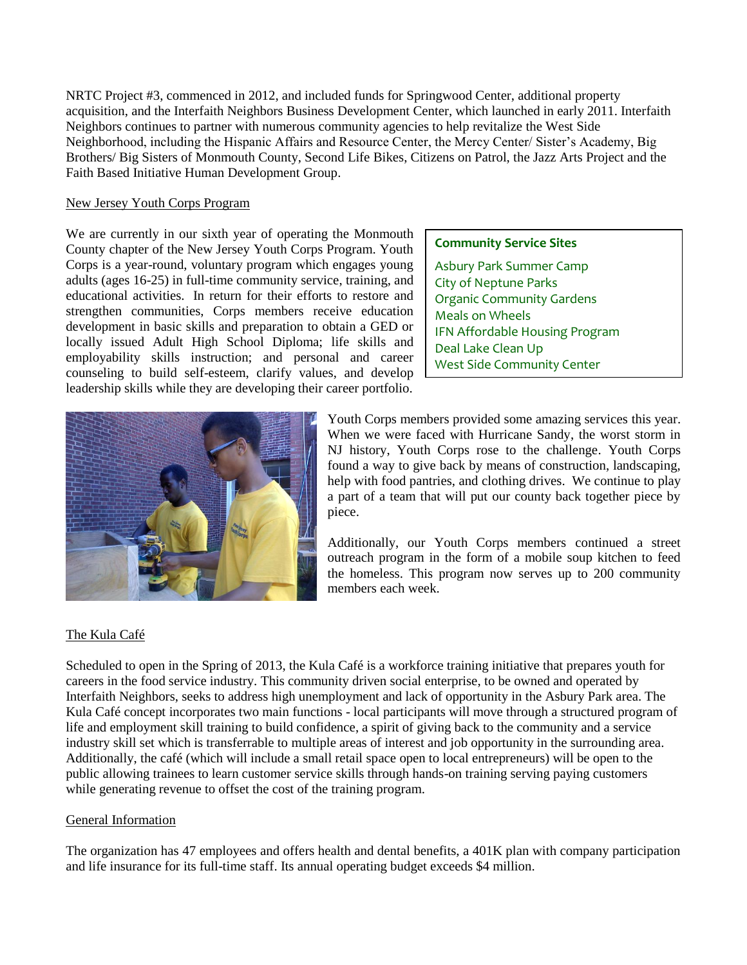NRTC Project #3, commenced in 2012, and included funds for Springwood Center, additional property acquisition, and the Interfaith Neighbors Business Development Center, which launched in early 2011. Interfaith Neighbors continues to partner with numerous community agencies to help revitalize the West Side Neighborhood, including the Hispanic Affairs and Resource Center, the Mercy Center/ Sister's Academy, Big Brothers/ Big Sisters of Monmouth County, Second Life Bikes, Citizens on Patrol, the Jazz Arts Project and the Faith Based Initiative Human Development Group.

#### New Jersey Youth Corps Program

We are currently in our sixth year of operating the Monmouth County chapter of the New Jersey Youth Corps Program. Youth Corps is a year-round, voluntary program which engages young adults (ages 16-25) in full-time community service, training, and educational activities. In return for their efforts to restore and strengthen communities, Corps members receive education development in basic skills and preparation to obtain a GED or locally issued Adult High School Diploma; life skills and employability skills instruction; and personal and career counseling to build self-esteem, clarify values, and develop leadership skills while they are developing their career portfolio.



### **Community Service Sites**

Asbury Park Summer Camp City of Neptune Parks Organic Community Gardens Meals on Wheels IFN Affordable Housing Program Deal Lake Clean Up West Side Community Center

Youth Corps members provided some amazing services this year. When we were faced with Hurricane Sandy, the worst storm in NJ history, Youth Corps rose to the challenge. Youth Corps found a way to give back by means of construction, landscaping, help with food pantries, and clothing drives. We continue to play a part of a team that will put our county back together piece by piece.

Additionally, our Youth Corps members continued a street outreach program in the form of a mobile soup kitchen to feed the homeless. This program now serves up to 200 community members each week.

# The Kula Café

Scheduled to open in the Spring of 2013, the Kula Café is a workforce training initiative that prepares youth for careers in the food service industry. This community driven social enterprise, to be owned and operated by Interfaith Neighbors, seeks to address high unemployment and lack of opportunity in the Asbury Park area. The Kula Café concept incorporates two main functions - local participants will move through a structured program of life and employment skill training to build confidence, a spirit of giving back to the community and a service industry skill set which is transferrable to multiple areas of interest and job opportunity in the surrounding area. Additionally, the café (which will include a small retail space open to local entrepreneurs) will be open to the public allowing trainees to learn customer service skills through hands-on training serving paying customers while generating revenue to offset the cost of the training program.

## General Information

The organization has 47 employees and offers health and dental benefits, a 401K plan with company participation and life insurance for its full-time staff. Its annual operating budget exceeds \$4 million.